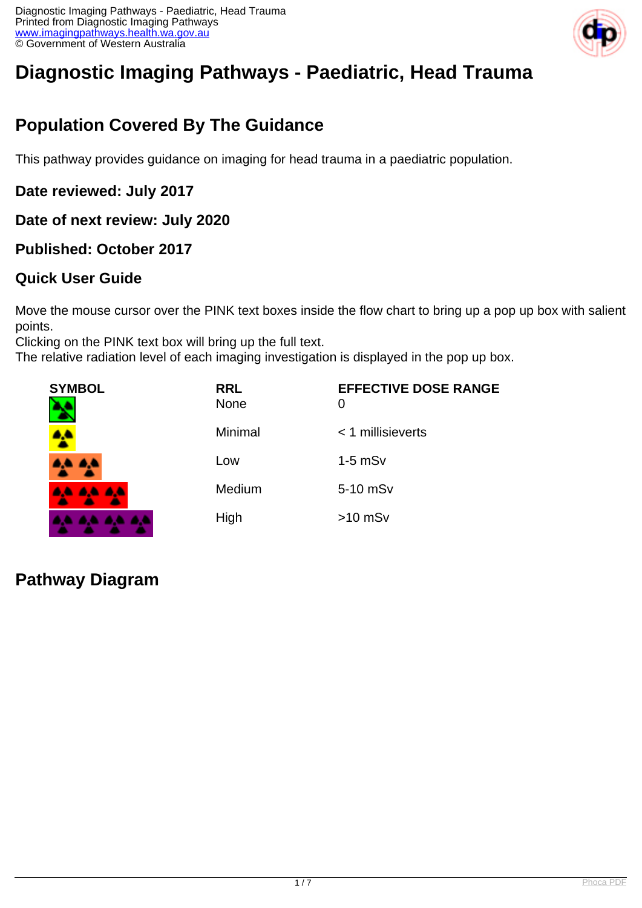

# **Diagnostic Imaging Pathways - Paediatric, Head Trauma**

# **Population Covered By The Guidance**

This pathway provides guidance on imaging for head trauma in a paediatric population.

**Date reviewed: July 2017**

**Date of next review: July 2020**

**Published: October 2017**

#### **Quick User Guide**

Move the mouse cursor over the PINK text boxes inside the flow chart to bring up a pop up box with salient points.

Clicking on the PINK text box will bring up the full text.

The relative radiation level of each imaging investigation is displayed in the pop up box.

| <b>SYMBOL</b>       | <b>RRL</b><br>None | <b>EFFECTIVE DOSE RANGE</b><br>0 |
|---------------------|--------------------|----------------------------------|
|                     | Minimal            | $<$ 1 millisieverts              |
| 8. S<br><b>a, a</b> | Low                | $1-5$ mS $v$                     |
| AA AA AA            | Medium             | 5-10 mSv                         |
| .                   | High               | $>10$ mSv                        |

### **Pathway Diagram**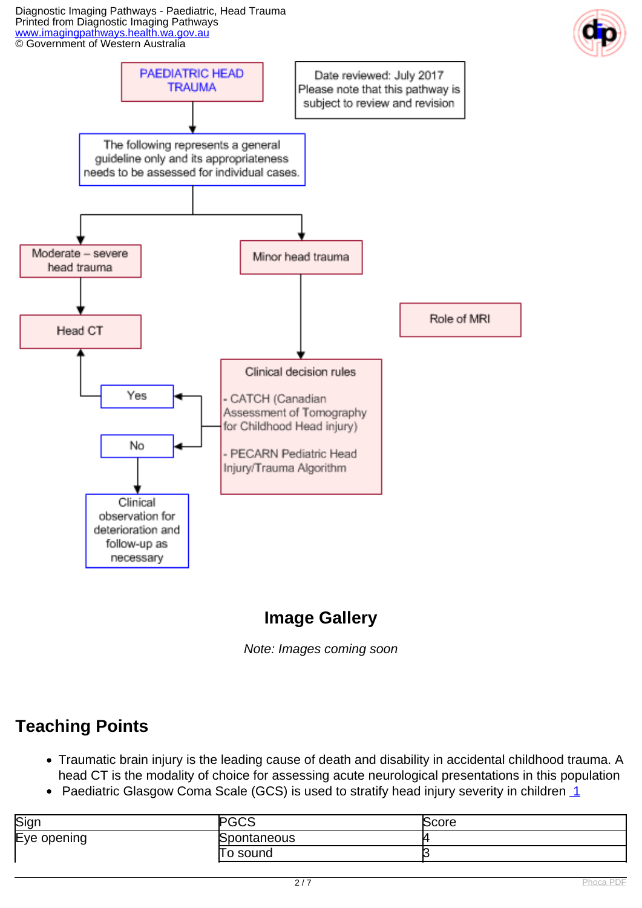Diagnostic Imaging Pathways - Paediatric, Head Trauma Printed from Diagnostic Imaging Pathways [www.imagingpathways.health.wa.gov.au](http://www.imagingpathways.health.wa.gov.au/) © Government of Western Australia





# **Image Gallery**

Note: Images coming soon

### **Teaching Points**

- Traumatic brain injury is the leading cause of death and disability in accidental childhood trauma. A head CT is the modality of choice for assessing acute neurological presentations in this population
- Paediatric Glasgow Coma Scale (GCS) is used to stratify head injury severity in children  $1$

| Sign             | ົດ<br>טטט   | Score |
|------------------|-------------|-------|
| Eye opening<br>∼ | Spontaneous |       |
|                  | sound<br>0  |       |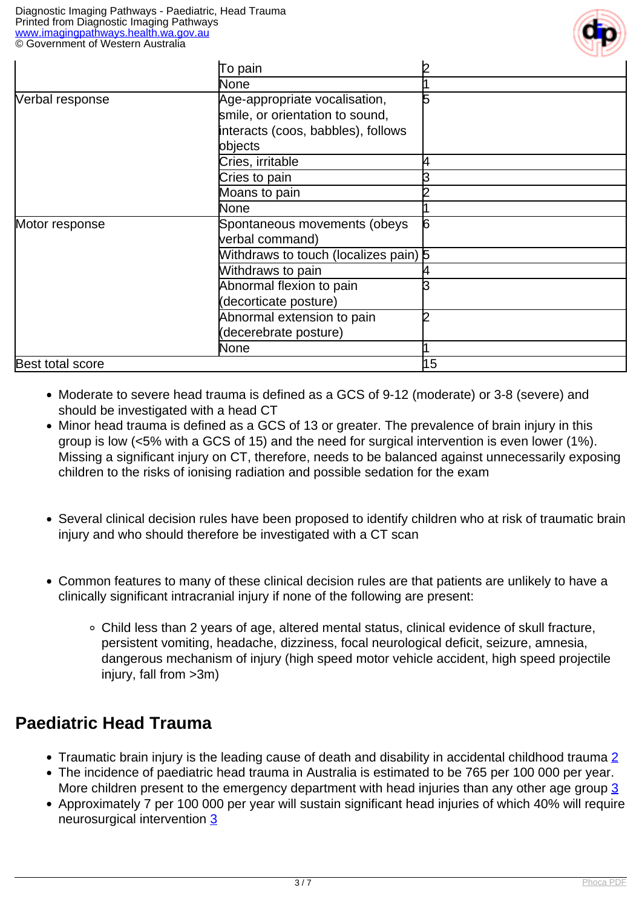

|                  | To pain                               |    |
|------------------|---------------------------------------|----|
|                  | None                                  |    |
| Verbal response  | Age-appropriate vocalisation,         | 5  |
|                  | smile, or orientation to sound,       |    |
|                  | interacts (coos, babbles), follows    |    |
|                  | bbjects                               |    |
|                  | Cries, irritable                      |    |
|                  | Cries to pain                         |    |
|                  | Moans to pain                         |    |
|                  | None                                  |    |
| Motor response   | Spontaneous movements (obeys          | 6  |
|                  | verbal command)                       |    |
|                  | Mithdraws to touch (localizes pain) 5 |    |
|                  | Withdraws to pain                     |    |
|                  | Abnormal flexion to pain              |    |
|                  | (decorticate posture)                 |    |
|                  | Abnormal extension to pain            |    |
|                  | (decerebrate posture)                 |    |
|                  | None                                  |    |
| Best total score |                                       | 15 |

- Moderate to severe head trauma is defined as a GCS of 9-12 (moderate) or 3-8 (severe) and should be investigated with a head CT
- Minor head trauma is defined as a GCS of 13 or greater. The prevalence of brain injury in this group is low (<5% with a GCS of 15) and the need for surgical intervention is even lower (1%). Missing a significant injury on CT, therefore, needs to be balanced against unnecessarily exposing children to the risks of ionising radiation and possible sedation for the exam
- Several clinical decision rules have been proposed to identify children who at risk of traumatic brain injury and who should therefore be investigated with a CT scan
- Common features to many of these clinical decision rules are that patients are unlikely to have a clinically significant intracranial injury if none of the following are present:
	- Child less than 2 years of age, altered mental status, clinical evidence of skull fracture, persistent vomiting, headache, dizziness, focal neurological deficit, seizure, amnesia, dangerous mechanism of injury (high speed motor vehicle accident, high speed projectile injury, fall from >3m)

### **Paediatric Head Trauma**

- Traumatic brain injury is the leading cause of death and disability in accidental childhood trauma [2](index.php?option=com_content&view=article&id=194&tab=references#1)
- The incidence of paediatric head trauma in Australia is estimated to be 765 per 100 000 per year. More children present to the emergency department with head injuries than any other age group [3](index.php?option=com_content&view=article&id=194&tab=references#1)
- Approximately 7 per 100 000 per year will sustain significant head injuries of which 40% will require neurosurgical intervention [3](index.php?option=com_content&view=article&id=194&tab=references#1)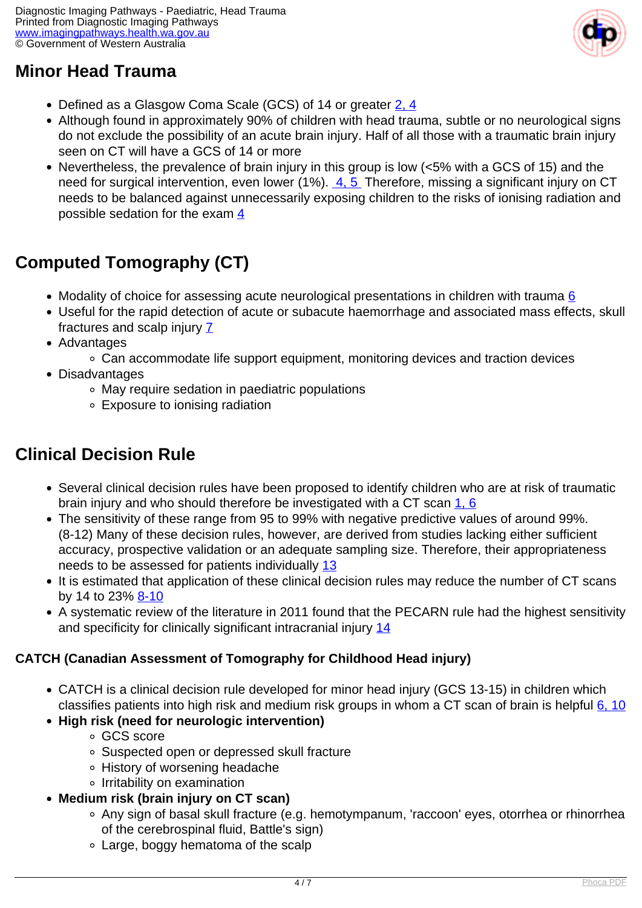### **Minor Head Trauma**



- Defined as a Glasgow Coma Scale (GCS) of 14 or greater [2, 4](index.php?option=com_content&view=article&id=194&tab=references#1)
- Although found in approximately 90% of children with head trauma, subtle or no neurological signs do not exclude the possibility of an acute brain injury. Half of all those with a traumatic brain injury seen on CT will have a GCS of 14 or more
- Nevertheless, the prevalence of brain injury in this group is low (<5% with a GCS of 15) and the need for surgical intervention, even lower (1%). [4, 5](index.php?option=com_content&view=article&id=194&tab=references#1) Therefore, missing a significant injury on CT needs to be balanced against unnecessarily exposing children to the risks of ionising radiation and possible sedation for the exam [4](index.php?option=com_content&view=article&id=194&tab=references#1)

## **Computed Tomography (CT)**

- Modality of choice for assessing acute neurological presentations in children with trauma  $6$
- Useful for the rapid detection of acute or subacute haemorrhage and associated mass effects, skull fractures and scalp injury [7](index.php?option=com_content&view=article&id=194&tab=references#1)
- Advantages
	- Can accommodate life support equipment, monitoring devices and traction devices
- Disadvantages
	- May require sedation in paediatric populations
	- Exposure to ionising radiation

### **Clinical Decision Rule**

- Several clinical decision rules have been proposed to identify children who are at risk of traumatic brain injury and who should therefore be investigated with a CT scan [1, 6](index.php?option=com_content&view=article&id=194&tab=references#1)
- The sensitivity of these range from 95 to 99% with negative predictive values of around 99%. (8-12) Many of these decision rules, however, are derived from studies lacking either sufficient accuracy, prospective validation or an adequate sampling size. Therefore, their appropriateness needs to be assessed for patients individually [13](index.php?option=com_content&view=article&id=194&tab=references#13)
- It is estimated that application of these clinical decision rules may reduce the number of CT scans by 14 to 23% [8-10](index.php?option=com_content&view=article&id=194&tab=references#8)
- A systematic review of the literature in 2011 found that the PECARN rule had the highest sensitivity and specificity for clinically significant intracranial injury [14](index.php?option=com_content&view=article&id=194&tab=references#14)

#### **CATCH (Canadian Assessment of Tomography for Childhood Head injury)**

- CATCH is a clinical decision rule developed for minor head injury (GCS 13-15) in children which classifies patients into high risk and medium risk groups in whom a CT scan of brain is helpful [6, 10](index.php?option=com_content&view=article&id=194&tab=references#1)
- **High risk (need for neurologic intervention)**
	- GCS score
	- Suspected open or depressed skull fracture
	- History of worsening headache
	- o Irritability on examination
- **Medium risk (brain injury on CT scan)**
	- Any sign of basal skull fracture (e.g. hemotympanum, 'raccoon' eyes, otorrhea or rhinorrhea of the cerebrospinal fluid, Battle's sign)
	- Large, boggy hematoma of the scalp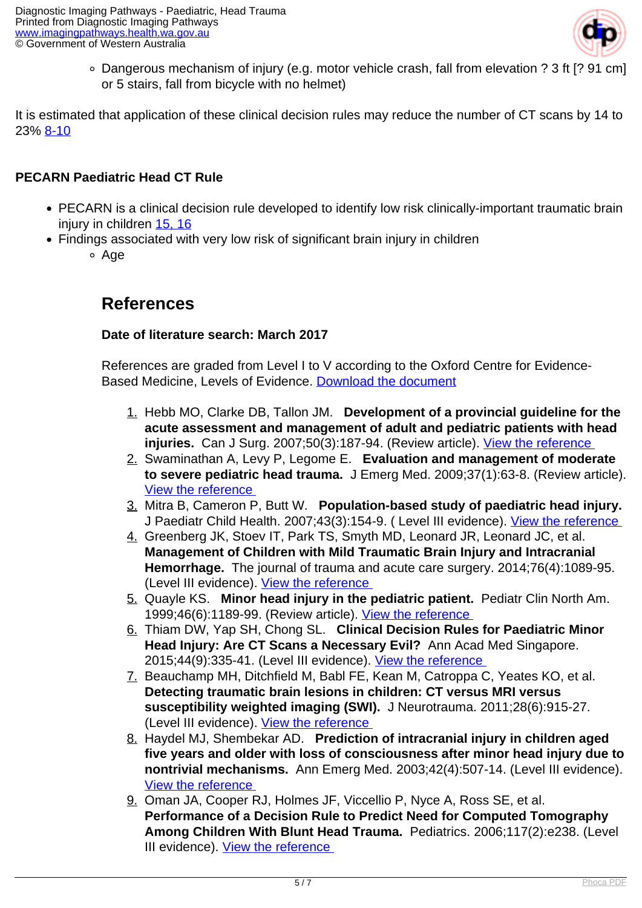

Dangerous mechanism of injury (e.g. motor vehicle crash, fall from elevation ? 3 ft [? 91 cm] or 5 stairs, fall from bicycle with no helmet)

It is estimated that application of these clinical decision rules may reduce the number of CT scans by 14 to 23% [8-10](index.php?option=com_content&view=article&id=194&tab=references#8)

#### **PECARN Paediatric Head CT Rule**

- PECARN is a clinical decision rule developed to identify low risk clinically-important traumatic brain injury in children [15, 16](index.php?option=com_content&view=article&id=194&tab=references#15)
- Findings associated with very low risk of significant brain injury in children <sup>o</sup> Age

#### **References**

#### **Date of literature search: March 2017**

References are graded from Level I to V according to the Oxford Centre for Evidence-Based Medicine, Levels of Evidence. [Download the document](http://www.cebm.net/wp-content/uploads/2014/06/CEBM-Levels-of-Evidence-2.1.pdf)

- 1. Hebb MO, Clarke DB, Tallon JM. **Development of a provincial guideline for the acute assessment and management of adult and pediatric patients with head injuries.** Can J Surg. 2007;50(3):187-94. (Review article). View the reference
- 2. Swaminathan A, Levy P, Legome E. **Evaluation and management of moderate to severe pediatric head trauma.** J Emerg Med. 2009;37(1):63-8. (Review article). [View the reference](https://www.ncbi.nlm.nih.gov/pubmed/19303237 )
- 3. Mitra B, Cameron P, Butt W. **Population-based study of paediatric head injury.**  J Paediatr Child Health. 2007;43(3):154-9. (Level III evidence). View the reference
- 4. Greenberg JK, Stoev IT, Park TS, Smyth MD, Leonard JR, Leonard JC, et al. **Management of Children with Mild Traumatic Brain Injury and Intracranial Hemorrhage.** The journal of trauma and acute care surgery. 2014;76(4):1089-95. (Level III evidence). [View the reference](https://www.ncbi.nlm.nih.gov/pmc/articles/PMC4152372 )
- 5. Quayle KS. **Minor head injury in the pediatric patient.** Pediatr Clin North Am. 1999;46(6):1189-99. (Review article). View the reference
- 6. Thiam DW, Yap SH, Chong SL. **Clinical Decision Rules for Paediatric Minor Head Injury: Are CT Scans a Necessary Evil?** Ann Acad Med Singapore. 2015;44(9):335-41. (Level III evidence). [View the reference](https://www.ncbi.nlm.nih.gov/pubmed/26584662 )
- 7. Beauchamp MH, Ditchfield M, Babl FE, Kean M, Catroppa C, Yeates KO, et al. **Detecting traumatic brain lesions in children: CT versus MRI versus susceptibility weighted imaging (SWI).** J Neurotrauma. 2011;28(6):915-27. (Level III evidence). View the reference
- 8. Haydel MJ, Shembekar AD. **Prediction of intracranial injury in children aged five years and older with loss of consciousness after minor head injury due to nontrivial mechanisms.** Ann Emerg Med. 2003;42(4):507-14. (Level III evidence). [View the reference](https://www.ncbi.nlm.nih.gov/pubmed/14520321 )
- 9. Oman JA, Cooper RJ, Holmes JF, Viccellio P, Nyce A, Ross SE, et al. **Performance of a Decision Rule to Predict Need for Computed Tomography Among Children With Blunt Head Trauma.** Pediatrics. 2006;117(2):e238. (Level III evidence). View the reference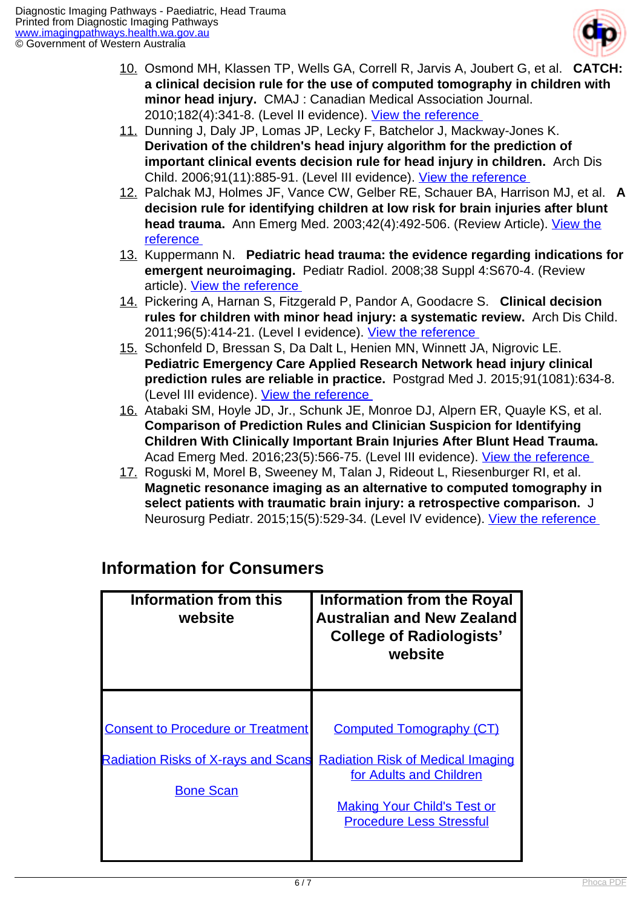

- 10. Osmond MH, Klassen TP, Wells GA, Correll R, Jarvis A, Joubert G, et al. **CATCH: a clinical decision rule for the use of computed tomography in children with minor head injury.** CMAJ : Canadian Medical Association Journal. 2010;182(4):341-8. (Level II evidence). [View the reference](https://www.ncbi.nlm.nih.gov/pmc/articles/PMC2831681/ )
- 11. Dunning J, Daly JP, Lomas JP, Lecky F, Batchelor J, Mackway-Jones K. **Derivation of the children's head injury algorithm for the prediction of important clinical events decision rule for head injury in children.** Arch Dis Child. 2006;91(11):885-91. (Level III evidence). [View the reference](https://www.ncbi.nlm.nih.gov/pubmed/17056862 )
- 12. Palchak MJ, Holmes JF, Vance CW, Gelber RE, Schauer BA, Harrison MJ, et al. **A decision rule for identifying children at low risk for brain injuries after blunt head trauma.** Ann Emerg Med. 2003;42(4):492-506. (Review Article). [View the](https://www.ncbi.nlm.nih.gov/pubmed/14520320 ) [reference](https://www.ncbi.nlm.nih.gov/pubmed/14520320 )
- 13. Kuppermann N. **Pediatric head trauma: the evidence regarding indications for emergent neuroimaging.** Pediatr Radiol. 2008;38 Suppl 4:S670-4. (Review article). [View the reference](https://www.ncbi.nlm.nih.gov/pubmed/18810402 )
- 14. Pickering A, Harnan S, Fitzgerald P, Pandor A, Goodacre S. **Clinical decision rules for children with minor head injury: a systematic review.** Arch Dis Child. 2011;96(5):414-21. (Level I evidence). [View the reference](https://www.ncbi.nlm.nih.gov/pubmed/21310894 )
- 15. Schonfeld D, Bressan S, Da Dalt L, Henien MN, Winnett JA, Nigrovic LE. **Pediatric Emergency Care Applied Research Network head injury clinical prediction rules are reliable in practice.** Postgrad Med J. 2015;91(1081):634-8. (Level III evidence). [View the reference](https://www.ncbi.nlm.nih.gov/pubmed/26500010 )
- 16. Atabaki SM, Hoyle JD, Jr., Schunk JE, Monroe DJ, Alpern ER, Quayle KS, et al. **Comparison of Prediction Rules and Clinician Suspicion for Identifying Children With Clinically Important Brain Injuries After Blunt Head Trauma.**  Acad Emerg Med. 2016;23(5):566-75. (Level III evidence). View the reference
- 17. Roguski M, Morel B, Sweeney M, Talan J, Rideout L, Riesenburger RI, et al. **Magnetic resonance imaging as an alternative to computed tomography in select patients with traumatic brain injury: a retrospective comparison.** J Neurosurg Pediatr. 2015;15(5):529-34. (Level IV evidence). View the reference

| Information from this<br>website                               | <b>Information from the Royal</b><br><b>Australian and New Zealand</b><br><b>College of Radiologists'</b><br>website |
|----------------------------------------------------------------|----------------------------------------------------------------------------------------------------------------------|
| <b>Consent to Procedure or Treatment</b>                       | <b>Computed Tomography (CT)</b>                                                                                      |
| <b>Radiation Risks of X-rays and Scans</b><br><b>Bone Scan</b> | <b>Radiation Risk of Medical Imaging</b><br>for Adults and Children                                                  |
|                                                                | <b>Making Your Child's Test or</b><br><b>Procedure Less Stressful</b>                                                |

### **Information for Consumers**